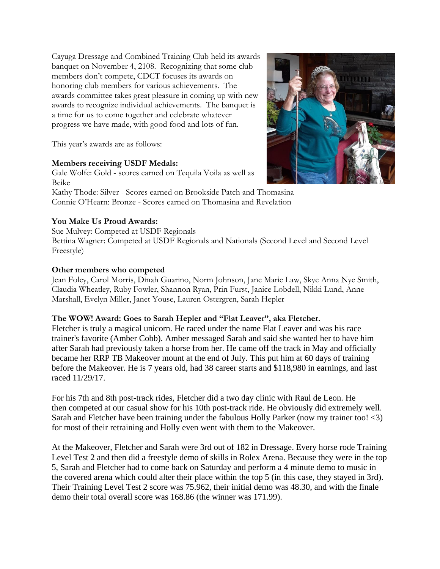Cayuga Dressage and Combined Training Club held its awards banquet on November 4, 2108. Recognizing that some club members don't compete, CDCT focuses its awards on honoring club members for various achievements. The awards committee takes great pleasure in coming up with new awards to recognize individual achievements. The banquet is a time for us to come together and celebrate whatever progress we have made, with good food and lots of fun.

This year's awards are as follows:

# **Members receiving USDF Medals:**

Gale Wolfe: Gold - scores earned on Tequila Voila as well as Beike

Kathy Thode: Silver - Scores earned on Brookside Patch and Thomasina Connie O'Hearn: Bronze - Scores earned on Thomasina and Revelation

# **You Make Us Proud Awards:**

Sue Mulvey: Competed at USDF Regionals Bettina Wagner: Competed at USDF Regionals and Nationals (Second Level and Second Level Freestyle)

# **Other members who competed**

Jean Foley, Carol Morris, Dinah Guarino, Norm Johnson, Jane Marie Law, Skye Anna Nye Smith, Claudia Wheatley, Ruby Fowler, Shannon Ryan, Prin Furst, Janice Lobdell, Nikki Lund, Anne Marshall, Evelyn Miller, Janet Youse, Lauren Ostergren, Sarah Hepler

# **The WOW! Award: Goes to Sarah Hepler and "Flat Leaver", aka Fletcher.**

Fletcher is truly a magical unicorn. He raced under the name Flat Leaver and was his race trainer's favorite (Amber Cobb). Amber messaged Sarah and said she wanted her to have him after Sarah had previously taken a horse from her. He came off the track in May and officially became her RRP TB Makeover mount at the end of July. This put him at 60 days of training before the Makeover. He is 7 years old, had 38 career starts and \$118,980 in earnings, and last raced 11/29/17.

For his 7th and 8th post-track rides, Fletcher did a two day clinic with Raul de Leon. He then competed at our casual show for his 10th post-track ride. He obviously did extremely well. Sarah and Fletcher have been training under the fabulous Holly Parker (now my trainer too! <3) for most of their retraining and Holly even went with them to the Makeover.

At the Makeover, Fletcher and Sarah were 3rd out of 182 in Dressage. Every horse rode Training Level Test 2 and then did a freestyle demo of skills in Rolex Arena. Because they were in the top 5, Sarah and Fletcher had to come back on Saturday and perform a 4 minute demo to music in the covered arena which could alter their place within the top 5 (in this case, they stayed in 3rd). Their Training Level Test 2 score was 75.962, their initial demo was 48.30, and with the finale demo their total overall score was 168.86 (the winner was 171.99).

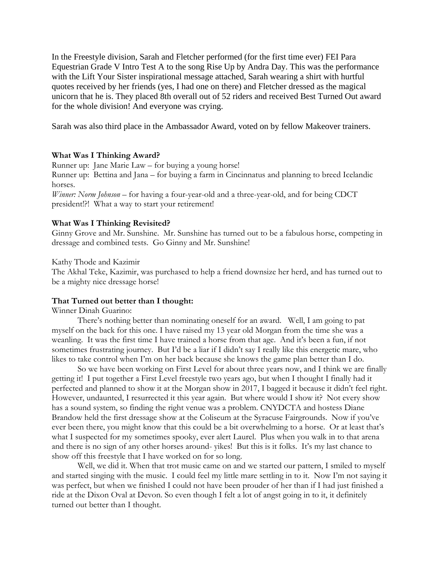In the Freestyle division, Sarah and Fletcher performed (for the first time ever) FEI Para Equestrian Grade V Intro Test A to the song Rise Up by Andra Day. This was the performance with the Lift Your Sister inspirational message attached, Sarah wearing a shirt with hurtful quotes received by her friends (yes, I had one on there) and Fletcher dressed as the magical unicorn that he is. They placed 8th overall out of 52 riders and received Best Turned Out award for the whole division! And everyone was crying.

Sarah was also third place in the Ambassador Award, voted on by fellow Makeover trainers.

#### **What Was I Thinking Award?**

Runner up: Jane Marie Law – for buying a young horse!

Runner up: Bettina and Jana – for buying a farm in Cincinnatus and planning to breed Icelandic horses.

*Winner: Norm Johnson* – for having a four-year-old and a three-year-old, and for being CDCT president!?! What a way to start your retirement!

#### **What Was I Thinking Revisited?**

Ginny Grove and Mr. Sunshine. Mr. Sunshine has turned out to be a fabulous horse, competing in dressage and combined tests. Go Ginny and Mr. Sunshine!

#### Kathy Thode and Kazimir

The Akhal Teke, Kazimir, was purchased to help a friend downsize her herd, and has turned out to be a mighty nice dressage horse!

# **That Turned out better than I thought:**

Winner Dinah Guarino:

There's nothing better than nominating oneself for an award. Well, I am going to pat myself on the back for this one. I have raised my 13 year old Morgan from the time she was a weanling. It was the first time I have trained a horse from that age. And it's been a fun, if not sometimes frustrating journey. But I'd be a liar if I didn't say I really like this energetic mare, who likes to take control when I'm on her back because she knows the game plan better than I do.

So we have been working on First Level for about three years now, and I think we are finally getting it! I put together a First Level freestyle two years ago, but when I thought I finally had it perfected and planned to show it at the Morgan show in 2017, I bagged it because it didn't feel right. However, undaunted, I resurrected it this year again. But where would I show it? Not every show has a sound system, so finding the right venue was a problem. CNYDCTA and hostess Diane Brandow held the first dressage show at the Coliseum at the Syracuse Fairgrounds. Now if you've ever been there, you might know that this could be a bit overwhelming to a horse. Or at least that's what I suspected for my sometimes spooky, ever alert Laurel. Plus when you walk in to that arena and there is no sign of any other horses around- yikes! But this is it folks. It's my last chance to show off this freestyle that I have worked on for so long.

Well, we did it. When that trot music came on and we started our pattern, I smiled to myself and started singing with the music. I could feel my little mare settling in to it. Now I'm not saying it was perfect, but when we finished I could not have been prouder of her than if I had just finished a ride at the Dixon Oval at Devon. So even though I felt a lot of angst going in to it, it definitely turned out better than I thought.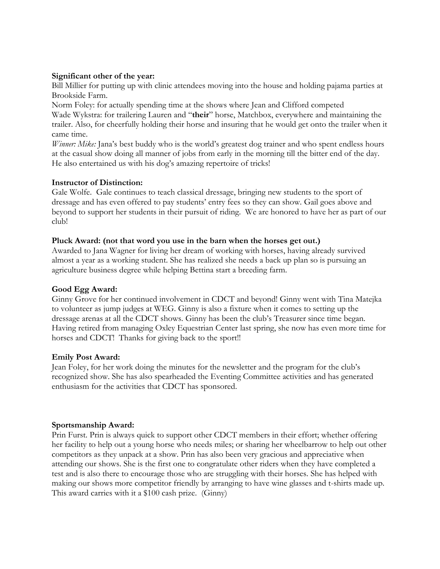## **Significant other of the year:**

Bill Millier for putting up with clinic attendees moving into the house and holding pajama parties at Brookside Farm.

Norm Foley: for actually spending time at the shows where Jean and Clifford competed Wade Wykstra: for trailering Lauren and "**their**" horse, Matchbox, everywhere and maintaining the trailer. Also, for cheerfully holding their horse and insuring that he would get onto the trailer when it came time.

*Winner: Mike:* Jana's best buddy who is the world's greatest dog trainer and who spent endless hours at the casual show doing all manner of jobs from early in the morning till the bitter end of the day. He also entertained us with his dog's amazing repertoire of tricks!

## **Instructor of Distinction:**

Gale Wolfe. Gale continues to teach classical dressage, bringing new students to the sport of dressage and has even offered to pay students' entry fees so they can show. Gail goes above and beyond to support her students in their pursuit of riding. We are honored to have her as part of our club!

# **Pluck Award: (not that word you use in the barn when the horses get out.)**

Awarded to Jana Wagner for living her dream of working with horses, having already survived almost a year as a working student. She has realized she needs a back up plan so is pursuing an agriculture business degree while helping Bettina start a breeding farm.

# **Good Egg Award:**

Ginny Grove for her continued involvement in CDCT and beyond! Ginny went with Tina Matejka to volunteer as jump judges at WEG. Ginny is also a fixture when it comes to setting up the dressage arenas at all the CDCT shows. Ginny has been the club's Treasurer since time began. Having retired from managing Oxley Equestrian Center last spring, she now has even more time for horses and CDCT! Thanks for giving back to the sport!!

# **Emily Post Award:**

Jean Foley, for her work doing the minutes for the newsletter and the program for the club's recognized show. She has also spearheaded the Eventing Committee activities and has generated enthusiasm for the activities that CDCT has sponsored.

# **Sportsmanship Award:**

Prin Furst. Prin is always quick to support other CDCT members in their effort; whether offering her facility to help out a young horse who needs miles; or sharing her wheelbarrow to help out other competitors as they unpack at a show. Prin has also been very gracious and appreciative when attending our shows. She is the first one to congratulate other riders when they have completed a test and is also there to encourage those who are struggling with their horses. She has helped with making our shows more competitor friendly by arranging to have wine glasses and t-shirts made up. This award carries with it a \$100 cash prize. (Ginny)